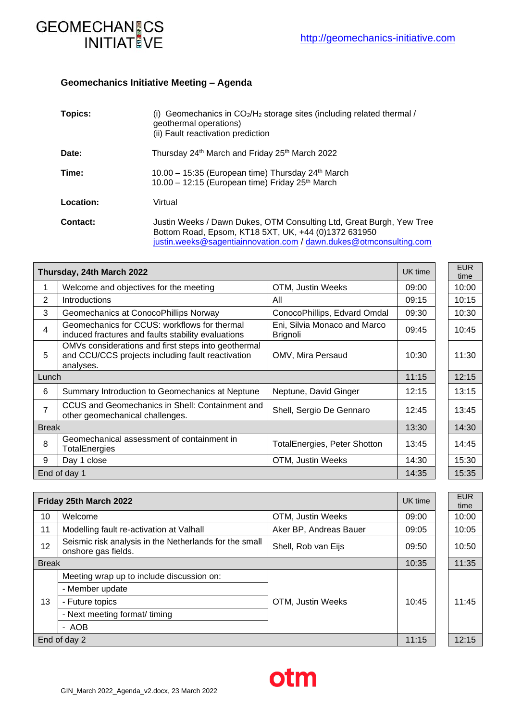

## **Geomechanics Initiative Meeting – Agenda**

| Topics:   | Geomechanics in CO <sub>2</sub> /H <sub>2</sub> storage sites (including related thermal /<br>(i)<br>geothermal operations)<br>(ii) Fault reactivation prediction                                  |
|-----------|----------------------------------------------------------------------------------------------------------------------------------------------------------------------------------------------------|
| Date:     | Thursday 24 <sup>th</sup> March and Friday 25 <sup>th</sup> March 2022                                                                                                                             |
| Time:     | 10.00 - 15:35 (European time) Thursday 24 <sup>th</sup> March<br>10.00 - 12:15 (European time) Friday 25 <sup>th</sup> March                                                                       |
| Location: | Virtual                                                                                                                                                                                            |
| Contact:  | Justin Weeks / Dawn Dukes, OTM Consulting Ltd, Great Burgh, Yew Tree<br>Bottom Road, Epsom, KT18 5XT, UK, +44 (0)1372 631950<br>justin.weeks@sagentiainnovation.com / dawn.dukes@otmconsulting.com |

| Thursday, 24th March 2022 |                                                                                                                       |                                                 | UK time | <b>EUR</b><br>time |
|---------------------------|-----------------------------------------------------------------------------------------------------------------------|-------------------------------------------------|---------|--------------------|
| 1                         | Welcome and objectives for the meeting                                                                                | OTM, Justin Weeks                               | 09:00   | 10:00              |
| 2                         | <b>Introductions</b>                                                                                                  | All                                             | 09:15   | 10:15              |
| 3                         | Geomechanics at ConocoPhillips Norway                                                                                 | ConocoPhillips, Edvard Omdal                    | 09:30   | 10:30              |
| 4                         | Geomechanics for CCUS: workflows for thermal<br>induced fractures and faults stability evaluations                    | Eni, Silvia Monaco and Marco<br><b>Brignoli</b> | 09:45   | 10:45              |
| 5                         | OMVs considerations and first steps into geothermal<br>and CCU/CCS projects including fault reactivation<br>analyses. | OMV, Mira Persaud                               | 10:30   | 11:30              |
| Lunch                     |                                                                                                                       |                                                 |         | 12:15              |
| 6                         | Summary Introduction to Geomechanics at Neptune                                                                       | Neptune, David Ginger                           | 12:15   | 13:15              |
| 7                         | CCUS and Geomechanics in Shell: Containment and<br>other geomechanical challenges.                                    | Shell, Sergio De Gennaro                        | 12:45   | 13:45              |
| <b>Break</b>              |                                                                                                                       |                                                 | 13:30   | 14:30              |
| 8                         | Geomechanical assessment of containment in<br><b>TotalEnergies</b>                                                    | TotalEnergies, Peter Shotton                    | 13:45   | 14:45              |
| 9                         | Day 1 close                                                                                                           | OTM, Justin Weeks                               | 14:30   | 15:30              |
| End of day 1              |                                                                                                                       |                                                 | 14:35   | 15:35              |

| Friday 25th March 2022 |                                                                               |                        | UK time | <b>EUR</b><br>time |
|------------------------|-------------------------------------------------------------------------------|------------------------|---------|--------------------|
| 10                     | Welcome                                                                       | OTM, Justin Weeks      | 09:00   | 10:00              |
| 11                     | Modelling fault re-activation at Valhall                                      | Aker BP, Andreas Bauer | 09:05   | 10:05              |
| 12                     | Seismic risk analysis in the Netherlands for the small<br>onshore gas fields. | Shell, Rob van Eijs    | 09:50   | 10:50              |
| <b>Break</b>           |                                                                               |                        | 10:35   | 11:35              |
| 13                     | Meeting wrap up to include discussion on:                                     |                        |         |                    |
|                        | - Member update                                                               |                        |         |                    |
|                        | OTM, Justin Weeks<br>- Future topics                                          |                        | 10:45   | 11:45              |
|                        | - Next meeting format/ timing                                                 |                        |         |                    |
|                        | - AOB                                                                         |                        |         |                    |
| End of day 2           |                                                                               |                        | 11:15   | 12:15              |

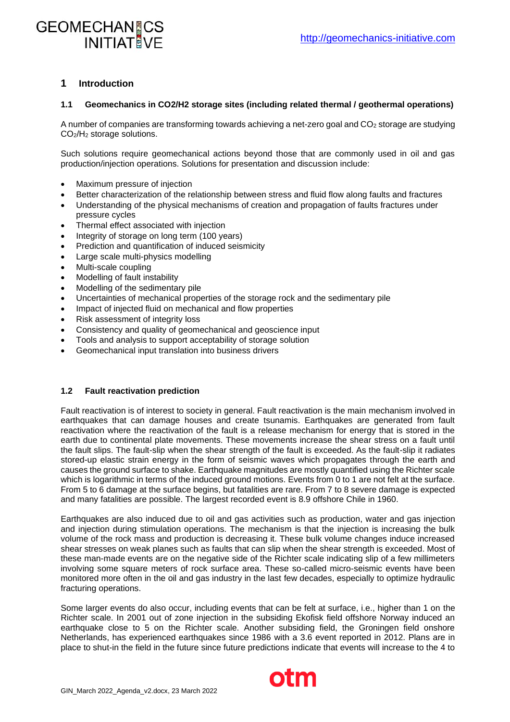# **GEOMECHANGCS INITIAT VE**

## **1 Introduction**

#### **1.1 Geomechanics in CO2/H2 storage sites (including related thermal / geothermal operations)**

A number of companies are transforming towards achieving a net-zero goal and CO<sup>2</sup> storage are studying CO2/H<sup>2</sup> storage solutions.

Such solutions require geomechanical actions beyond those that are commonly used in oil and gas production/injection operations. Solutions for presentation and discussion include:

- Maximum pressure of injection
- Better characterization of the relationship between stress and fluid flow along faults and fractures
- Understanding of the physical mechanisms of creation and propagation of faults fractures under pressure cycles
- Thermal effect associated with injection
- Integrity of storage on long term (100 years)
- Prediction and quantification of induced seismicity
- Large scale multi-physics modelling
- Multi-scale coupling
- Modelling of fault instability
- Modelling of the sedimentary pile
- Uncertainties of mechanical properties of the storage rock and the sedimentary pile
- Impact of injected fluid on mechanical and flow properties
- Risk assessment of integrity loss
- Consistency and quality of geomechanical and geoscience input
- Tools and analysis to support acceptability of storage solution
- Geomechanical input translation into business drivers

#### **1.2 Fault reactivation prediction**

Fault reactivation is of interest to society in general. Fault reactivation is the main mechanism involved in earthquakes that can damage houses and create tsunamis. Earthquakes are generated from fault reactivation where the reactivation of the fault is a release mechanism for energy that is stored in the earth due to continental plate movements. These movements increase the shear stress on a fault until the fault slips. The fault-slip when the shear strength of the fault is exceeded. As the fault-slip it radiates stored-up elastic strain energy in the form of seismic waves which propagates through the earth and causes the ground surface to shake. Earthquake magnitudes are mostly quantified using the Richter scale which is logarithmic in terms of the induced ground motions. Events from 0 to 1 are not felt at the surface. From 5 to 6 damage at the surface begins, but fatalities are rare. From 7 to 8 severe damage is expected and many fatalities are possible. The largest recorded event is 8.9 offshore Chile in 1960.

Earthquakes are also induced due to oil and gas activities such as production, water and gas injection and injection during stimulation operations. The mechanism is that the injection is increasing the bulk volume of the rock mass and production is decreasing it. These bulk volume changes induce increased shear stresses on weak planes such as faults that can slip when the shear strength is exceeded. Most of these man-made events are on the negative side of the Richter scale indicating slip of a few millimeters involving some square meters of rock surface area. These so-called micro-seismic events have been monitored more often in the oil and gas industry in the last few decades, especially to optimize hydraulic fracturing operations.

Some larger events do also occur, including events that can be felt at surface, i.e., higher than 1 on the Richter scale. In 2001 out of zone injection in the subsiding Ekofisk field offshore Norway induced an earthquake close to 5 on the Richter scale. Another subsiding field, the Groningen field onshore Netherlands, has experienced earthquakes since 1986 with a 3.6 event reported in 2012. Plans are in place to shut-in the field in the future since future predictions indicate that events will increase to the 4 to

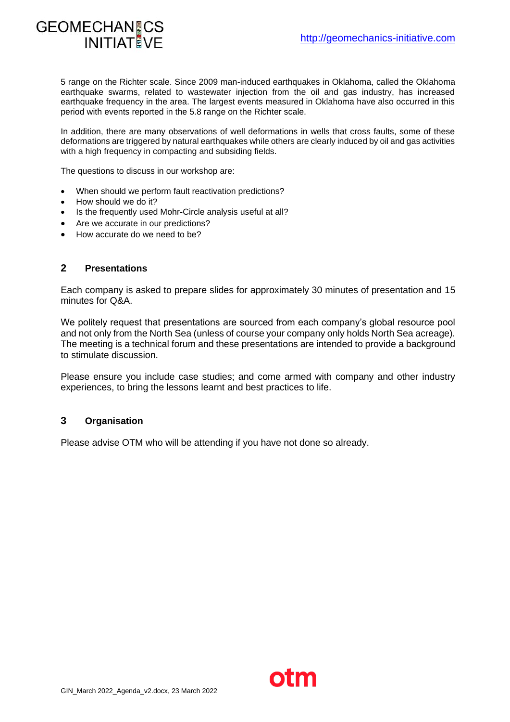

5 range on the Richter scale. Since 2009 man-induced earthquakes in Oklahoma, called the Oklahoma earthquake swarms, related to wastewater injection from the oil and gas industry, has increased earthquake frequency in the area. The largest events measured in Oklahoma have also occurred in this period with events reported in the 5.8 range on the Richter scale.

In addition, there are many observations of well deformations in wells that cross faults, some of these deformations are triggered by natural earthquakes while others are clearly induced by oil and gas activities with a high frequency in compacting and subsiding fields.

The questions to discuss in our workshop are:

- When should we perform fault reactivation predictions?
- How should we do it?
- Is the frequently used Mohr-Circle analysis useful at all?
- Are we accurate in our predictions?
- How accurate do we need to be?

#### **2 Presentations**

Each company is asked to prepare slides for approximately 30 minutes of presentation and 15 minutes for Q&A.

We politely request that presentations are sourced from each company's global resource pool and not only from the North Sea (unless of course your company only holds North Sea acreage). The meeting is a technical forum and these presentations are intended to provide a background to stimulate discussion.

Please ensure you include case studies; and come armed with company and other industry experiences, to bring the lessons learnt and best practices to life.

#### **3 Organisation**

Please advise OTM who will be attending if you have not done so already.

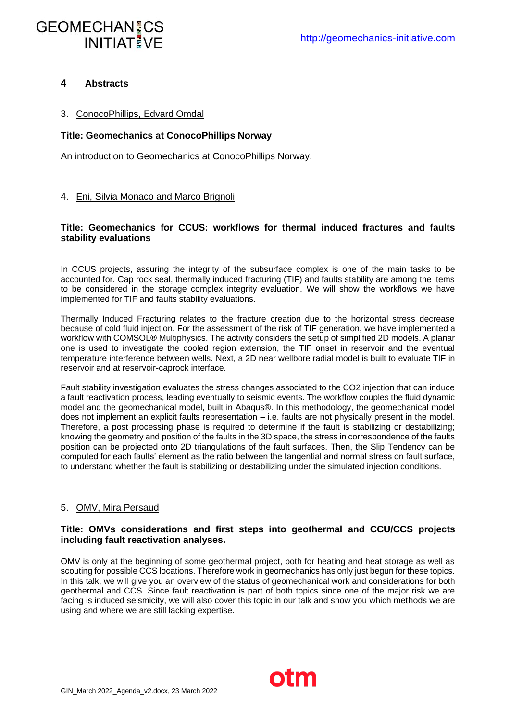# **GEOMECHANGCS INITIAT VF**

## **4 Abstracts**

## 3. ConocoPhillips, Edvard Omdal

### **Title: Geomechanics at ConocoPhillips Norway**

An introduction to Geomechanics at ConocoPhillips Norway.

### 4. Eni, Silvia Monaco and Marco Brignoli

### **Title: Geomechanics for CCUS: workflows for thermal induced fractures and faults stability evaluations**

In CCUS projects, assuring the integrity of the subsurface complex is one of the main tasks to be accounted for. Cap rock seal, thermally induced fracturing (TIF) and faults stability are among the items to be considered in the storage complex integrity evaluation. We will show the workflows we have implemented for TIF and faults stability evaluations.

Thermally Induced Fracturing relates to the fracture creation due to the horizontal stress decrease because of cold fluid injection. For the assessment of the risk of TIF generation, we have implemented a workflow with COMSOL® Multiphysics. The activity considers the setup of simplified 2D models. A planar one is used to investigate the cooled region extension, the TIF onset in reservoir and the eventual temperature interference between wells. Next, a 2D near wellbore radial model is built to evaluate TIF in reservoir and at reservoir-caprock interface.

Fault stability investigation evaluates the stress changes associated to the CO2 injection that can induce a fault reactivation process, leading eventually to seismic events. The workflow couples the fluid dynamic model and the geomechanical model, built in Abaqus®. In this methodology, the geomechanical model does not implement an explicit faults representation – i.e. faults are not physically present in the model. Therefore, a post processing phase is required to determine if the fault is stabilizing or destabilizing; knowing the geometry and position of the faults in the 3D space, the stress in correspondence of the faults position can be projected onto 2D triangulations of the fault surfaces. Then, the Slip Tendency can be computed for each faults' element as the ratio between the tangential and normal stress on fault surface, to understand whether the fault is stabilizing or destabilizing under the simulated injection conditions.

## 5. OMV, Mira Persaud

#### **Title: OMVs considerations and first steps into geothermal and CCU/CCS projects including fault reactivation analyses.**

OMV is only at the beginning of some geothermal project, both for heating and heat storage as well as scouting for possible CCS locations. Therefore work in geomechanics has only just begun for these topics. In this talk, we will give you an overview of the status of geomechanical work and considerations for both geothermal and CCS. Since fault reactivation is part of both topics since one of the major risk we are facing is induced seismicity, we will also cover this topic in our talk and show you which methods we are using and where we are still lacking expertise.

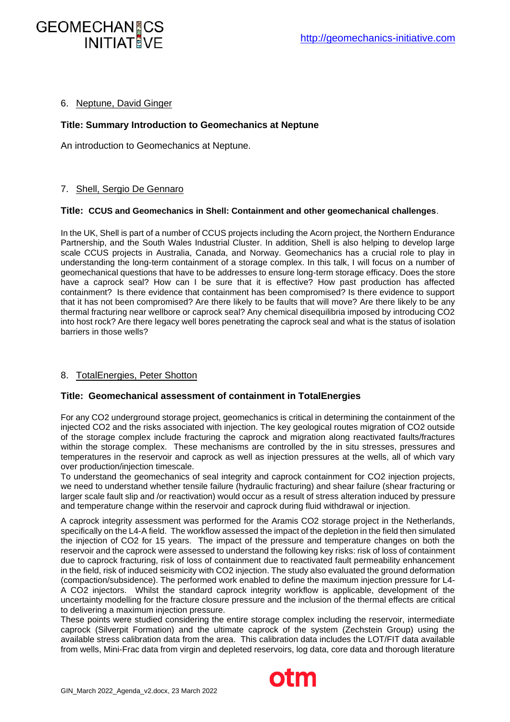#### 6. Neptune, David Ginger

**INITIAT VF** 

GEOMECHANICS

#### **Title: Summary Introduction to Geomechanics at Neptune**

An introduction to Geomechanics at Neptune.

#### 7. Shell, Sergio De Gennaro

#### **Title: CCUS and Geomechanics in Shell: Containment and other geomechanical challenges**.

In the UK, Shell is part of a number of CCUS projects including the Acorn project, the Northern Endurance Partnership, and the South Wales Industrial Cluster. In addition, Shell is also helping to develop large scale CCUS projects in Australia, Canada, and Norway. Geomechanics has a crucial role to play in understanding the long-term containment of a storage complex. In this talk, I will focus on a number of geomechanical questions that have to be addresses to ensure long-term storage efficacy. Does the store have a caprock seal? How can I be sure that it is effective? How past production has affected containment? Is there evidence that containment has been compromised? Is there evidence to support that it has not been compromised? Are there likely to be faults that will move? Are there likely to be any thermal fracturing near wellbore or caprock seal? Any chemical disequilibria imposed by introducing CO2 into host rock? Are there legacy well bores penetrating the caprock seal and what is the status of isolation barriers in those wells?

#### 8. TotalEnergies, Peter Shotton

#### **Title: Geomechanical assessment of containment in TotalEnergies**

For any CO2 underground storage project, geomechanics is critical in determining the containment of the injected CO2 and the risks associated with injection. The key geological routes migration of CO2 outside of the storage complex include fracturing the caprock and migration along reactivated faults/fractures within the storage complex. These mechanisms are controlled by the in situ stresses, pressures and temperatures in the reservoir and caprock as well as injection pressures at the wells, all of which vary over production/injection timescale.

To understand the geomechanics of seal integrity and caprock containment for CO2 injection projects, we need to understand whether tensile failure (hydraulic fracturing) and shear failure (shear fracturing or larger scale fault slip and /or reactivation) would occur as a result of stress alteration induced by pressure and temperature change within the reservoir and caprock during fluid withdrawal or injection.

A caprock integrity assessment was performed for the Aramis CO2 storage project in the Netherlands, specifically on the L4-A field. The workflow assessed the impact of the depletion in the field then simulated the injection of CO2 for 15 years. The impact of the pressure and temperature changes on both the reservoir and the caprock were assessed to understand the following key risks: risk of loss of containment due to caprock fracturing, risk of loss of containment due to reactivated fault permeability enhancement in the field, risk of induced seismicity with CO2 injection. The study also evaluated the ground deformation (compaction/subsidence). The performed work enabled to define the maximum injection pressure for L4- A CO2 injectors. Whilst the standard caprock integrity workflow is applicable, development of the uncertainty modelling for the fracture closure pressure and the inclusion of the thermal effects are critical to delivering a maximum injection pressure.

These points were studied considering the entire storage complex including the reservoir, intermediate caprock (Silverpit Formation) and the ultimate caprock of the system (Zechstein Group) using the available stress calibration data from the area. This calibration data includes the LOT/FIT data available from wells, Mini-Frac data from virgin and depleted reservoirs, log data, core data and thorough literature

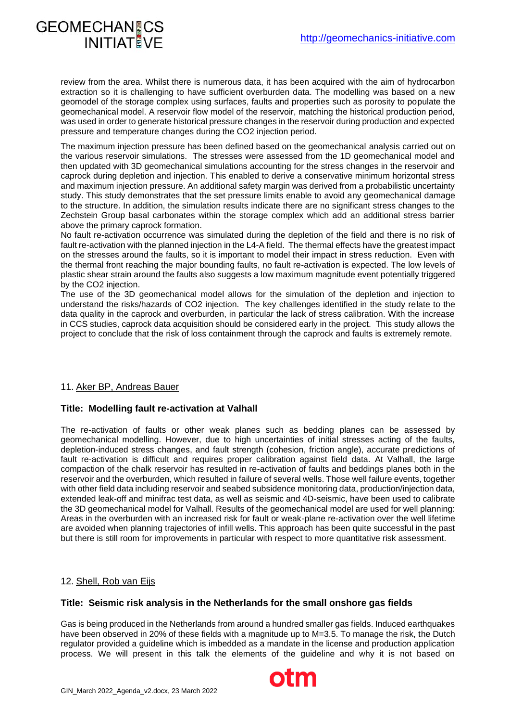## **GEOMECHANGCS INITIAT VF**

review from the area. Whilst there is numerous data, it has been acquired with the aim of hydrocarbon extraction so it is challenging to have sufficient overburden data. The modelling was based on a new geomodel of the storage complex using surfaces, faults and properties such as porosity to populate the geomechanical model. A reservoir flow model of the reservoir, matching the historical production period, was used in order to generate historical pressure changes in the reservoir during production and expected pressure and temperature changes during the CO2 injection period.

The maximum injection pressure has been defined based on the geomechanical analysis carried out on the various reservoir simulations. The stresses were assessed from the 1D geomechanical model and then updated with 3D geomechanical simulations accounting for the stress changes in the reservoir and caprock during depletion and injection. This enabled to derive a conservative minimum horizontal stress and maximum injection pressure. An additional safety margin was derived from a probabilistic uncertainty study. This study demonstrates that the set pressure limits enable to avoid any geomechanical damage to the structure. In addition, the simulation results indicate there are no significant stress changes to the Zechstein Group basal carbonates within the storage complex which add an additional stress barrier above the primary caprock formation.

No fault re-activation occurrence was simulated during the depletion of the field and there is no risk of fault re-activation with the planned injection in the L4-A field. The thermal effects have the greatest impact on the stresses around the faults, so it is important to model their impact in stress reduction. Even with the thermal front reaching the major bounding faults, no fault re-activation is expected. The low levels of plastic shear strain around the faults also suggests a low maximum magnitude event potentially triggered by the CO2 injection.

The use of the 3D geomechanical model allows for the simulation of the depletion and injection to understand the risks/hazards of CO2 injection. The key challenges identified in the study relate to the data quality in the caprock and overburden, in particular the lack of stress calibration. With the increase in CCS studies, caprock data acquisition should be considered early in the project. This study allows the project to conclude that the risk of loss containment through the caprock and faults is extremely remote.

## 11. Aker BP, Andreas Bauer

#### **Title: Modelling fault re-activation at Valhall**

The re-activation of faults or other weak planes such as bedding planes can be assessed by geomechanical modelling. However, due to high uncertainties of initial stresses acting of the faults, depletion-induced stress changes, and fault strength (cohesion, friction angle), accurate predictions of fault re-activation is difficult and requires proper calibration against field data. At Valhall, the large compaction of the chalk reservoir has resulted in re-activation of faults and beddings planes both in the reservoir and the overburden, which resulted in failure of several wells. Those well failure events, together with other field data including reservoir and seabed subsidence monitoring data, production/injection data, extended leak-off and minifrac test data, as well as seismic and 4D-seismic, have been used to calibrate the 3D geomechanical model for Valhall. Results of the geomechanical model are used for well planning: Areas in the overburden with an increased risk for fault or weak-plane re-activation over the well lifetime are avoided when planning trajectories of infill wells. This approach has been quite successful in the past but there is still room for improvements in particular with respect to more quantitative risk assessment.

#### 12. Shell, Rob van Eijs

#### **Title: Seismic risk analysis in the Netherlands for the small onshore gas fields**

Gas is being produced in the Netherlands from around a hundred smaller gas fields. Induced earthquakes have been observed in 20% of these fields with a magnitude up to M=3.5. To manage the risk, the Dutch regulator provided a guideline which is imbedded as a mandate in the license and production application process. We will present in this talk the elements of the guideline and why it is not based on